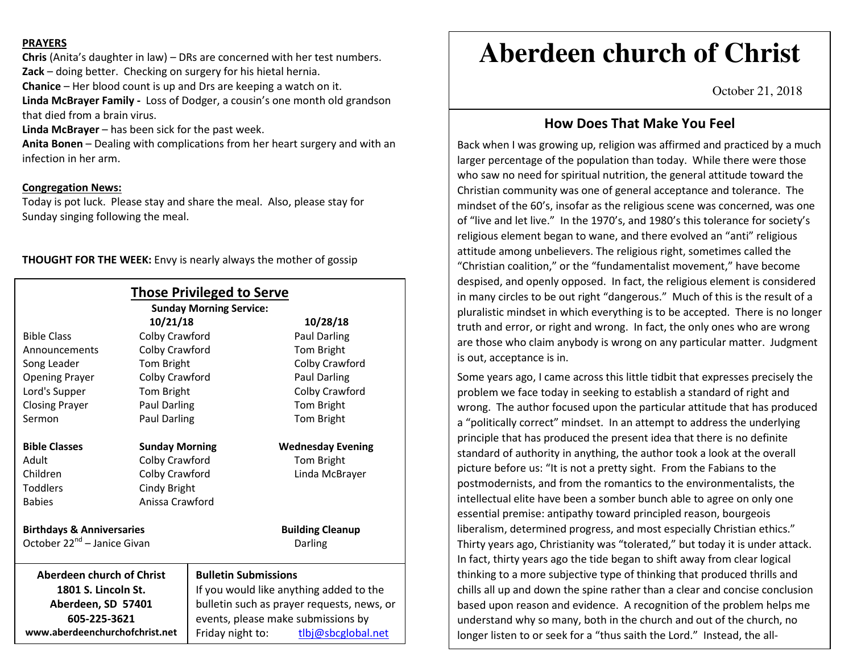#### **PRAYERS**

**Chris** (Anita's daughter in law) – DRs are concerned with her test numbers. **Zack** – doing better. Checking on surgery for his hietal hernia. **Chanice** – Her blood count is up and Drs are keeping a watch on it. **Linda McBrayer Family -** Loss of Dodger, a cousin's one month old grandson that died from a brain virus.

**Linda McBrayer** – has been sick for the past week.

**Anita Bonen** – Dealing with complications from her heart surgery and with an infection in her arm.

### **Congregation News:**

Today is pot luck. Please stay and share the meal. Also, please stay for Sunday singing following the meal.

| <b>THOUGHT FOR THE WEEK:</b> Envy is nearly always the mother of gossip |  |
|-------------------------------------------------------------------------|--|
|-------------------------------------------------------------------------|--|

| <b>Those Privileged to Serve</b><br><b>Sunday Morning Service:</b> |                       |                                         |                                            |  |  |
|--------------------------------------------------------------------|-----------------------|-----------------------------------------|--------------------------------------------|--|--|
|                                                                    | 10/21/18              |                                         | 10/28/18                                   |  |  |
| <b>Bible Class</b>                                                 | Colby Crawford        |                                         | Paul Darling                               |  |  |
| Announcements                                                      | Colby Crawford        |                                         | Tom Bright                                 |  |  |
| Song Leader                                                        | Tom Bright            |                                         | Colby Crawford                             |  |  |
| <b>Opening Prayer</b>                                              | Colby Crawford        |                                         | Paul Darling                               |  |  |
| Lord's Supper                                                      | Tom Bright            |                                         | Colby Crawford                             |  |  |
| <b>Closing Prayer</b>                                              | Paul Darling          |                                         | Tom Bright                                 |  |  |
| Sermon                                                             | Paul Darling          |                                         | Tom Bright                                 |  |  |
| <b>Bible Classes</b>                                               | <b>Sunday Morning</b> |                                         | <b>Wednesday Evening</b>                   |  |  |
| Adult                                                              | Colby Crawford        |                                         | Tom Bright                                 |  |  |
| Children                                                           | Colby Crawford        |                                         | Linda McBrayer                             |  |  |
| <b>Toddlers</b>                                                    | Cindy Bright          |                                         |                                            |  |  |
| <b>Babies</b>                                                      |                       | Anissa Crawford                         |                                            |  |  |
| <b>Birthdays &amp; Anniversaries</b>                               |                       |                                         | <b>Building Cleanup</b>                    |  |  |
| October 22 <sup>nd</sup> - Janice Givan<br>Darling                 |                       |                                         |                                            |  |  |
| <b>Aberdeen church of Christ</b><br><b>Bulletin Submissions</b>    |                       |                                         |                                            |  |  |
| 1801 S. Lincoln St.                                                |                       | If you would like anything added to the |                                            |  |  |
| Aberdeen, SD 57401                                                 |                       |                                         | bulletin such as prayer requests, news, or |  |  |
| 605-225-3621                                                       |                       | events, please make submissions by      |                                            |  |  |
| www.aberdeenchurchofchrist.net                                     |                       | Friday night to:                        | tlbj@sbcglobal.net                         |  |  |

# **Aberdeen church of Christ**

October 21, 2018

## **How Does That Make You Feel**

Back when I was growing up, religion was affirmed and practiced by a much larger percentage of the population than today. While there were those who saw no need for spiritual nutrition, the general attitude toward the Christian community was one of general acceptance and tolerance. The mindset of the 60's, insofar as the religious scene was concerned, was one of "live and let live." In the 1970's, and 1980's this tolerance for society's religious element began to wane, and there evolved an "anti" religious attitude among unbelievers. The religious right, sometimes called the "Christian coalition," or the "fundamentalist movement," have become despised, and openly opposed. In fact, the religious element is considered in many circles to be out right "dangerous." Much of this is the result of a pluralistic mindset in which everything is to be accepted. There is no longer truth and error, or right and wrong. In fact, the only ones who are wrong are those who claim anybody is wrong on any particular matter. Judgment is out, acceptance is in.

Some years ago, I came across this little tidbit that expresses precisely the problem we face today in seeking to establish a standard of right and wrong. The author focused upon the particular attitude that has produced a "politically correct" mindset. In an attempt to address the underlying principle that has produced the present idea that there is no definite standard of authority in anything, the author took a look at the overall picture before us: "It is not a pretty sight. From the Fabians to the postmodernists, and from the romantics to the environmentalists, the intellectual elite have been a somber bunch able to agree on only one essential premise: antipathy toward principled reason, bourgeois liberalism, determined progress, and most especially Christian ethics." Thirty years ago, Christianity was "tolerated," but today it is under attack. In fact, thirty years ago the tide began to shift away from clear logical thinking to a more subjective type of thinking that produced thrills and chills all up and down the spine rather than a clear and concise conclusion based upon reason and evidence. A recognition of the problem helps me understand why so many, both in the church and out of the church, no longer listen to or seek for a "thus saith the Lord." Instead, the all-

important is supercontracted in  $H$  about that  $H$  about that  $P$  about that  $P$